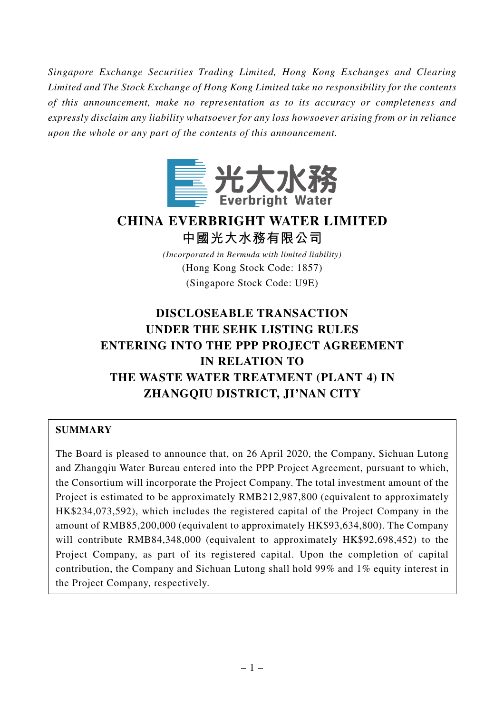*Singapore Exchange Securities Trading Limited, Hong Kong Exchanges and Clearing Limited and The Stock Exchange of Hong Kong Limited take no responsibility for the contents of this announcement, make no representation as to its accuracy or completeness and expressly disclaim any liability whatsoever for any loss howsoever arising from or in reliance upon the whole or any part of the contents of this announcement.*



# **CHINA EVERBRIGHT WATER LIMITED 中國光大水務有限公司**

*(Incorporated in Bermuda with limited liability)* (Hong Kong Stock Code: 1857) (Singapore Stock Code: U9E)

# **DISCLOSEABLE TRANSACTION UNDER THE SEHK LISTING RULES ENTERING INTO THE PPP PROJECT AGREEMENT IN RELATION TO THE WASTE WATER TREATMENT (PLANT 4) IN ZHANGQIU DISTRICT, JI'NAN CITY**

# **SUMMARY**

The Board is pleased to announce that, on 26 April 2020, the Company, Sichuan Lutong and Zhangqiu Water Bureau entered into the PPP Project Agreement, pursuant to which, the Consortium will incorporate the Project Company. The total investment amount of the Project is estimated to be approximately RMB212,987,800 (equivalent to approximately HK\$234,073,592), which includes the registered capital of the Project Company in the amount of RMB85,200,000 (equivalent to approximately HK\$93,634,800). The Company will contribute RMB84,348,000 (equivalent to approximately HK\$92,698,452) to the Project Company, as part of its registered capital. Upon the completion of capital contribution, the Company and Sichuan Lutong shall hold 99% and 1% equity interest in the Project Company, respectively.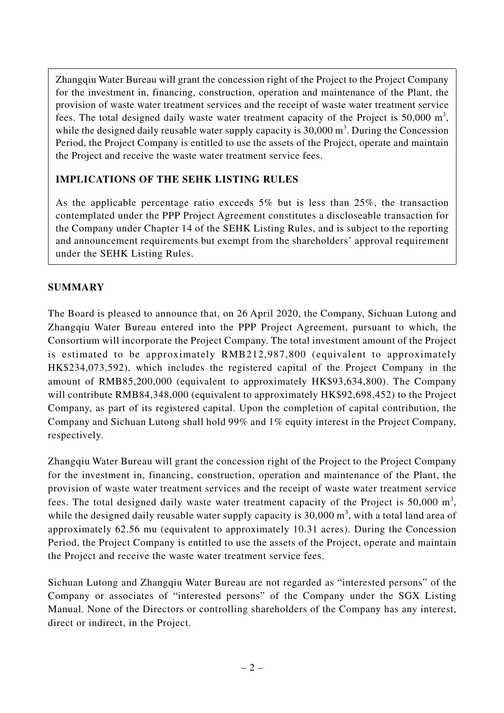Zhangqiu Water Bureau will grant the concession right of the Project to the Project Company for the investment in, financing, construction, operation and maintenance of the Plant, the provision of waste water treatment services and the receipt of waste water treatment service fees. The total designed daily waste water treatment capacity of the Project is 50,000  $m^3$ , while the designed daily reusable water supply capacity is  $30,000$  m<sup>3</sup>. During the Concession Period, the Project Company is entitled to use the assets of the Project, operate and maintain the Project and receive the waste water treatment service fees.

# **IMPLICATIONS OF THE SEHK LISTING RULES**

As the applicable percentage ratio exceeds 5% but is less than 25%, the transaction contemplated under the PPP Project Agreement constitutes a discloseable transaction for the Company under Chapter 14 of the SEHK Listing Rules, and is subject to the reporting and announcement requirements but exempt from the shareholders' approval requirement under the SEHK Listing Rules.

# **SUMMARY**

The Board is pleased to announce that, on 26 April 2020, the Company, Sichuan Lutong and Zhangqiu Water Bureau entered into the PPP Project Agreement, pursuant to which, the Consortium will incorporate the Project Company. The total investment amount of the Project is estimated to be approximately RMB212,987,800 (equivalent to approximately HK\$234,073,592), which includes the registered capital of the Project Company in the amount of RMB85,200,000 (equivalent to approximately HK\$93,634,800). The Company will contribute RMB84,348,000 (equivalent to approximately HK\$92,698,452) to the Project Company, as part of its registered capital. Upon the completion of capital contribution, the Company and Sichuan Lutong shall hold 99% and 1% equity interest in the Project Company, respectively.

Zhangqiu Water Bureau will grant the concession right of the Project to the Project Company for the investment in, financing, construction, operation and maintenance of the Plant, the provision of waste water treatment services and the receipt of waste water treatment service fees. The total designed daily waste water treatment capacity of the Project is 50,000  $m^3$ , while the designed daily reusable water supply capacity is  $30,000$  m<sup>3</sup>, with a total land area of approximately 62.56 mu (equivalent to approximately 10.31 acres). During the Concession Period, the Project Company is entitled to use the assets of the Project, operate and maintain the Project and receive the waste water treatment service fees.

Sichuan Lutong and Zhangqiu Water Bureau are not regarded as "interested persons" of the Company or associates of "interested persons" of the Company under the SGX Listing Manual. None of the Directors or controlling shareholders of the Company has any interest, direct or indirect, in the Project.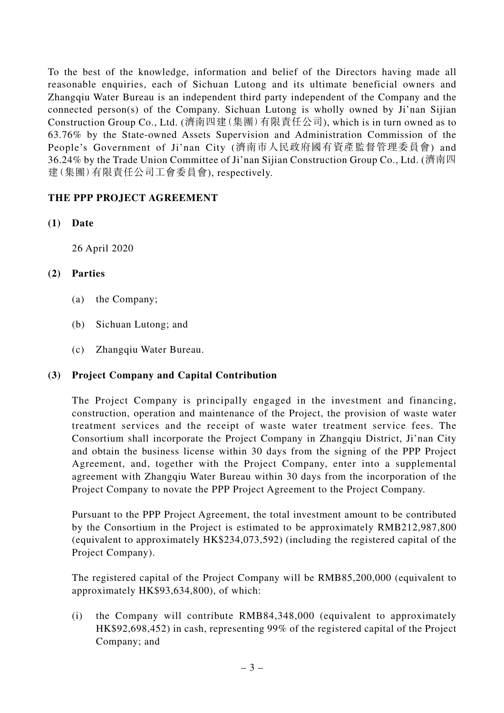To the best of the knowledge, information and belief of the Directors having made all reasonable enquiries, each of Sichuan Lutong and its ultimate beneficial owners and Zhangqiu Water Bureau is an independent third party independent of the Company and the connected person(s) of the Company. Sichuan Lutong is wholly owned by Ji'nan Sijian Construction Group Co., Ltd. (濟南四建(集團)有限責任公司), which is in turn owned as to 63.76% by the State-owned Assets Supervision and Administration Commission of the People's Government of Ji'nan City (濟南市人民政府國有資產監督管理委員會) and 36.24% by the Trade Union Committee of Ji'nan Sijian Construction Group Co., Ltd. (濟南四 建(集團)有限責任公司工會委員會), respectively.

# **THE PPP PROJECT AGREEMENT**

**(1) Date**

26 April 2020

# **(2) Parties**

- (a) the Company;
- (b) Sichuan Lutong; and
- (c) Zhangqiu Water Bureau.

# **(3) Project Company and Capital Contribution**

The Project Company is principally engaged in the investment and financing, construction, operation and maintenance of the Project, the provision of waste water treatment services and the receipt of waste water treatment service fees. The Consortium shall incorporate the Project Company in Zhangqiu District, Ji'nan City and obtain the business license within 30 days from the signing of the PPP Project Agreement, and, together with the Project Company, enter into a supplemental agreement with Zhangqiu Water Bureau within 30 days from the incorporation of the Project Company to novate the PPP Project Agreement to the Project Company.

Pursuant to the PPP Project Agreement, the total investment amount to be contributed by the Consortium in the Project is estimated to be approximately RMB212,987,800 (equivalent to approximately HK\$234,073,592) (including the registered capital of the Project Company).

The registered capital of the Project Company will be RMB85,200,000 (equivalent to approximately HK\$93,634,800), of which:

(i) the Company will contribute RMB84,348,000 (equivalent to approximately HK\$92,698,452) in cash, representing 99% of the registered capital of the Project Company; and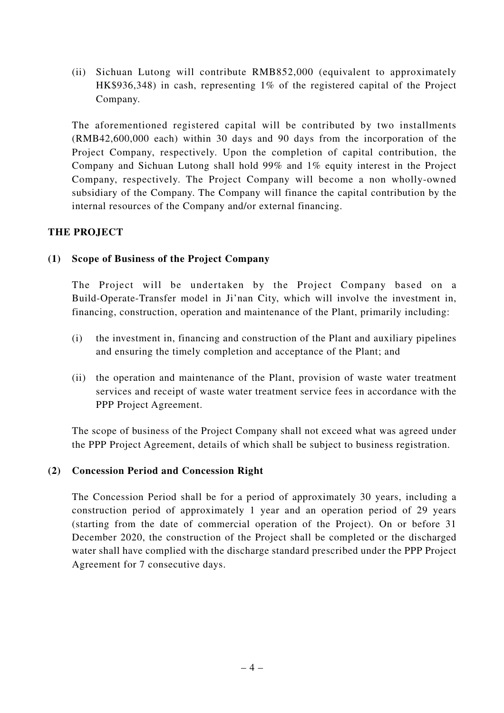(ii) Sichuan Lutong will contribute RMB852,000 (equivalent to approximately HK\$936,348) in cash, representing 1% of the registered capital of the Project Company.

The aforementioned registered capital will be contributed by two installments (RMB42,600,000 each) within 30 days and 90 days from the incorporation of the Project Company, respectively. Upon the completion of capital contribution, the Company and Sichuan Lutong shall hold 99% and 1% equity interest in the Project Company, respectively. The Project Company will become a non wholly-owned subsidiary of the Company. The Company will finance the capital contribution by the internal resources of the Company and/or external financing.

# **THE PROJECT**

## **(1) Scope of Business of the Project Company**

The Project will be undertaken by the Project Company based on a Build-Operate-Transfer model in Ji'nan City, which will involve the investment in, financing, construction, operation and maintenance of the Plant, primarily including:

- (i) the investment in, financing and construction of the Plant and auxiliary pipelines and ensuring the timely completion and acceptance of the Plant; and
- (ii) the operation and maintenance of the Plant, provision of waste water treatment services and receipt of waste water treatment service fees in accordance with the PPP Project Agreement.

The scope of business of the Project Company shall not exceed what was agreed under the PPP Project Agreement, details of which shall be subject to business registration.

#### **(2) Concession Period and Concession Right**

The Concession Period shall be for a period of approximately 30 years, including a construction period of approximately 1 year and an operation period of 29 years (starting from the date of commercial operation of the Project). On or before 31 December 2020, the construction of the Project shall be completed or the discharged water shall have complied with the discharge standard prescribed under the PPP Project Agreement for 7 consecutive days.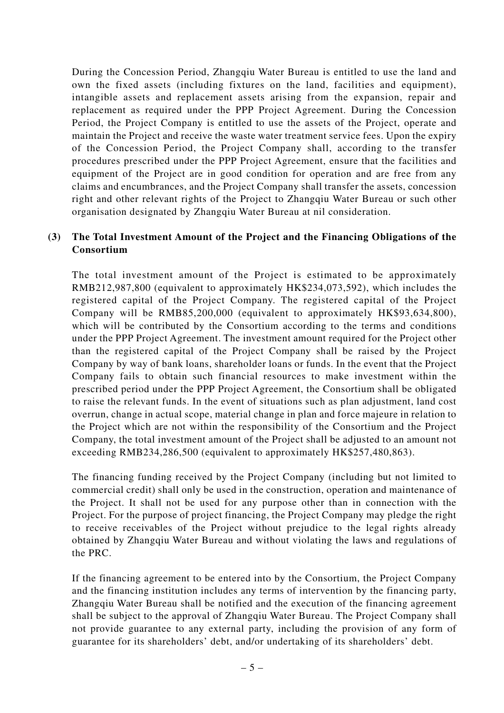During the Concession Period, Zhangqiu Water Bureau is entitled to use the land and own the fixed assets (including fixtures on the land, facilities and equipment), intangible assets and replacement assets arising from the expansion, repair and replacement as required under the PPP Project Agreement. During the Concession Period, the Project Company is entitled to use the assets of the Project, operate and maintain the Project and receive the waste water treatment service fees. Upon the expiry of the Concession Period, the Project Company shall, according to the transfer procedures prescribed under the PPP Project Agreement, ensure that the facilities and equipment of the Project are in good condition for operation and are free from any claims and encumbrances, and the Project Company shall transfer the assets, concession right and other relevant rights of the Project to Zhangqiu Water Bureau or such other organisation designated by Zhangqiu Water Bureau at nil consideration.

## **(3) The Total Investment Amount of the Project and the Financing Obligations of the Consortium**

The total investment amount of the Project is estimated to be approximately RMB212,987,800 (equivalent to approximately HK\$234,073,592), which includes the registered capital of the Project Company. The registered capital of the Project Company will be RMB85,200,000 (equivalent to approximately HK\$93,634,800), which will be contributed by the Consortium according to the terms and conditions under the PPP Project Agreement. The investment amount required for the Project other than the registered capital of the Project Company shall be raised by the Project Company by way of bank loans, shareholder loans or funds. In the event that the Project Company fails to obtain such financial resources to make investment within the prescribed period under the PPP Project Agreement, the Consortium shall be obligated to raise the relevant funds. In the event of situations such as plan adjustment, land cost overrun, change in actual scope, material change in plan and force majeure in relation to the Project which are not within the responsibility of the Consortium and the Project Company, the total investment amount of the Project shall be adjusted to an amount not exceeding RMB234,286,500 (equivalent to approximately HK\$257,480,863).

The financing funding received by the Project Company (including but not limited to commercial credit) shall only be used in the construction, operation and maintenance of the Project. It shall not be used for any purpose other than in connection with the Project. For the purpose of project financing, the Project Company may pledge the right to receive receivables of the Project without prejudice to the legal rights already obtained by Zhangqiu Water Bureau and without violating the laws and regulations of the PRC.

If the financing agreement to be entered into by the Consortium, the Project Company and the financing institution includes any terms of intervention by the financing party, Zhangqiu Water Bureau shall be notified and the execution of the financing agreement shall be subject to the approval of Zhangqiu Water Bureau. The Project Company shall not provide guarantee to any external party, including the provision of any form of guarantee for its shareholders' debt, and/or undertaking of its shareholders' debt.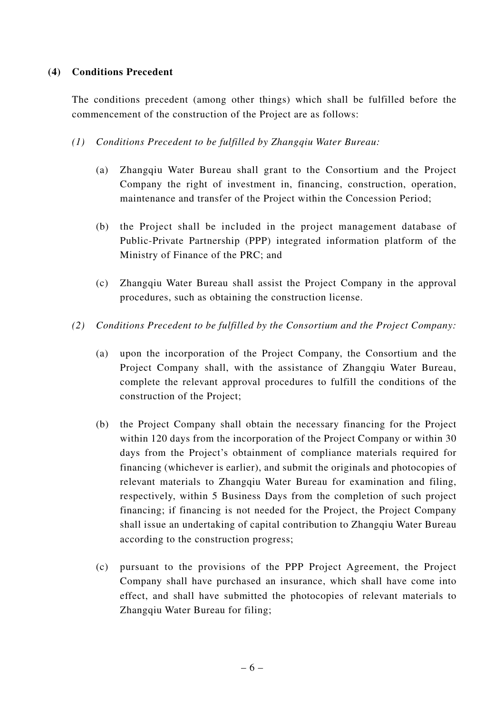#### **(4) Conditions Precedent**

The conditions precedent (among other things) which shall be fulfilled before the commencement of the construction of the Project are as follows:

#### *(1) Conditions Precedent to be fulfilled by Zhangqiu Water Bureau:*

- (a) Zhangqiu Water Bureau shall grant to the Consortium and the Project Company the right of investment in, financing, construction, operation, maintenance and transfer of the Project within the Concession Period;
- (b) the Project shall be included in the project management database of Public-Private Partnership (PPP) integrated information platform of the Ministry of Finance of the PRC; and
- (c) Zhangqiu Water Bureau shall assist the Project Company in the approval procedures, such as obtaining the construction license.
- *(2) Conditions Precedent to be fulfilled by the Consortium and the Project Company:*
	- (a) upon the incorporation of the Project Company, the Consortium and the Project Company shall, with the assistance of Zhangqiu Water Bureau, complete the relevant approval procedures to fulfill the conditions of the construction of the Project;
	- (b) the Project Company shall obtain the necessary financing for the Project within 120 days from the incorporation of the Project Company or within 30 days from the Project's obtainment of compliance materials required for financing (whichever is earlier), and submit the originals and photocopies of relevant materials to Zhangqiu Water Bureau for examination and filing, respectively, within 5 Business Days from the completion of such project financing; if financing is not needed for the Project, the Project Company shall issue an undertaking of capital contribution to Zhangqiu Water Bureau according to the construction progress;
	- (c) pursuant to the provisions of the PPP Project Agreement, the Project Company shall have purchased an insurance, which shall have come into effect, and shall have submitted the photocopies of relevant materials to Zhangqiu Water Bureau for filing;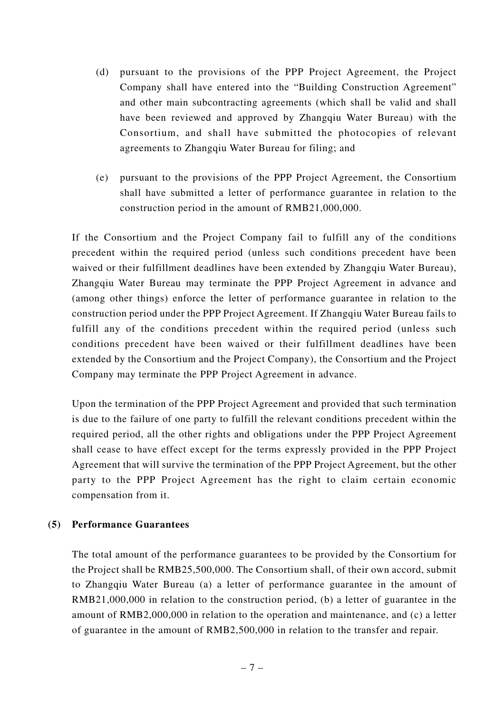- (d) pursuant to the provisions of the PPP Project Agreement, the Project Company shall have entered into the "Building Construction Agreement" and other main subcontracting agreements (which shall be valid and shall have been reviewed and approved by Zhangqiu Water Bureau) with the Consortium, and shall have submitted the photocopies of relevant agreements to Zhangqiu Water Bureau for filing; and
- (e) pursuant to the provisions of the PPP Project Agreement, the Consortium shall have submitted a letter of performance guarantee in relation to the construction period in the amount of RMB21,000,000.

If the Consortium and the Project Company fail to fulfill any of the conditions precedent within the required period (unless such conditions precedent have been waived or their fulfillment deadlines have been extended by Zhangqiu Water Bureau), Zhangqiu Water Bureau may terminate the PPP Project Agreement in advance and (among other things) enforce the letter of performance guarantee in relation to the construction period under the PPP Project Agreement. If Zhangqiu Water Bureau fails to fulfill any of the conditions precedent within the required period (unless such conditions precedent have been waived or their fulfillment deadlines have been extended by the Consortium and the Project Company), the Consortium and the Project Company may terminate the PPP Project Agreement in advance.

Upon the termination of the PPP Project Agreement and provided that such termination is due to the failure of one party to fulfill the relevant conditions precedent within the required period, all the other rights and obligations under the PPP Project Agreement shall cease to have effect except for the terms expressly provided in the PPP Project Agreement that will survive the termination of the PPP Project Agreement, but the other party to the PPP Project Agreement has the right to claim certain economic compensation from it.

#### **(5) Performance Guarantees**

The total amount of the performance guarantees to be provided by the Consortium for the Project shall be RMB25,500,000. The Consortium shall, of their own accord, submit to Zhangqiu Water Bureau (a) a letter of performance guarantee in the amount of RMB21,000,000 in relation to the construction period, (b) a letter of guarantee in the amount of RMB2,000,000 in relation to the operation and maintenance, and (c) a letter of guarantee in the amount of RMB2,500,000 in relation to the transfer and repair.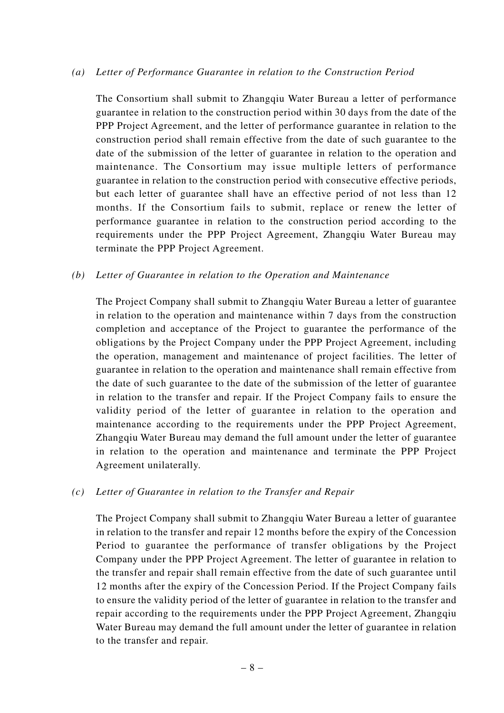#### *(a) Letter of Performance Guarantee in relation to the Construction Period*

The Consortium shall submit to Zhangqiu Water Bureau a letter of performance guarantee in relation to the construction period within 30 days from the date of the PPP Project Agreement, and the letter of performance guarantee in relation to the construction period shall remain effective from the date of such guarantee to the date of the submission of the letter of guarantee in relation to the operation and maintenance. The Consortium may issue multiple letters of performance guarantee in relation to the construction period with consecutive effective periods, but each letter of guarantee shall have an effective period of not less than 12 months. If the Consortium fails to submit, replace or renew the letter of performance guarantee in relation to the construction period according to the requirements under the PPP Project Agreement, Zhangqiu Water Bureau may terminate the PPP Project Agreement.

#### *(b) Letter of Guarantee in relation to the Operation and Maintenance*

The Project Company shall submit to Zhangqiu Water Bureau a letter of guarantee in relation to the operation and maintenance within 7 days from the construction completion and acceptance of the Project to guarantee the performance of the obligations by the Project Company under the PPP Project Agreement, including the operation, management and maintenance of project facilities. The letter of guarantee in relation to the operation and maintenance shall remain effective from the date of such guarantee to the date of the submission of the letter of guarantee in relation to the transfer and repair. If the Project Company fails to ensure the validity period of the letter of guarantee in relation to the operation and maintenance according to the requirements under the PPP Project Agreement, Zhangqiu Water Bureau may demand the full amount under the letter of guarantee in relation to the operation and maintenance and terminate the PPP Project Agreement unilaterally.

#### *(c) Letter of Guarantee in relation to the Transfer and Repair*

The Project Company shall submit to Zhangqiu Water Bureau a letter of guarantee in relation to the transfer and repair 12 months before the expiry of the Concession Period to guarantee the performance of transfer obligations by the Project Company under the PPP Project Agreement. The letter of guarantee in relation to the transfer and repair shall remain effective from the date of such guarantee until 12 months after the expiry of the Concession Period. If the Project Company fails to ensure the validity period of the letter of guarantee in relation to the transfer and repair according to the requirements under the PPP Project Agreement, Zhangqiu Water Bureau may demand the full amount under the letter of guarantee in relation to the transfer and repair.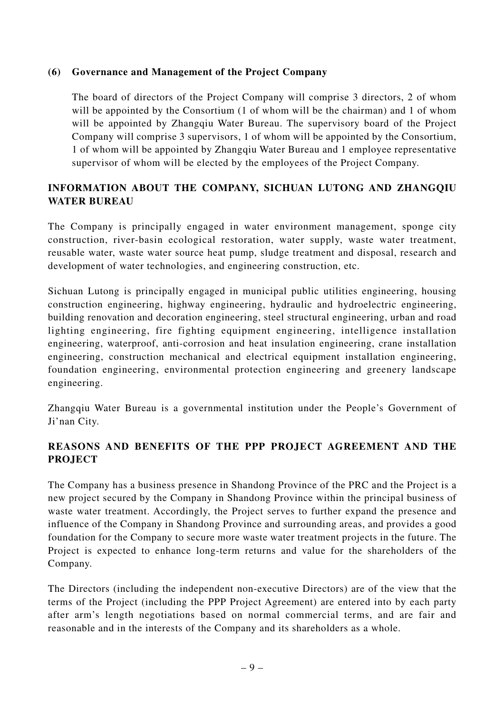## **(6) Governance and Management of the Project Company**

The board of directors of the Project Company will comprise 3 directors, 2 of whom will be appointed by the Consortium (1 of whom will be the chairman) and 1 of whom will be appointed by Zhangqiu Water Bureau. The supervisory board of the Project Company will comprise 3 supervisors, 1 of whom will be appointed by the Consortium, 1 of whom will be appointed by Zhangqiu Water Bureau and 1 employee representative supervisor of whom will be elected by the employees of the Project Company.

# **INFORMATION ABOUT THE COMPANY, SICHUAN LUTONG AND ZHANGQIU WATER BUREAU**

The Company is principally engaged in water environment management, sponge city construction, river-basin ecological restoration, water supply, waste water treatment, reusable water, waste water source heat pump, sludge treatment and disposal, research and development of water technologies, and engineering construction, etc.

Sichuan Lutong is principally engaged in municipal public utilities engineering, housing construction engineering, highway engineering, hydraulic and hydroelectric engineering, building renovation and decoration engineering, steel structural engineering, urban and road lighting engineering, fire fighting equipment engineering, intelligence installation engineering, waterproof, anti-corrosion and heat insulation engineering, crane installation engineering, construction mechanical and electrical equipment installation engineering, foundation engineering, environmental protection engineering and greenery landscape engineering.

Zhangqiu Water Bureau is a governmental institution under the People's Government of Ji'nan City.

# **REASONS AND BENEFITS OF THE PPP PROJECT AGREEMENT AND THE PROJECT**

The Company has a business presence in Shandong Province of the PRC and the Project is a new project secured by the Company in Shandong Province within the principal business of waste water treatment. Accordingly, the Project serves to further expand the presence and influence of the Company in Shandong Province and surrounding areas, and provides a good foundation for the Company to secure more waste water treatment projects in the future. The Project is expected to enhance long-term returns and value for the shareholders of the Company.

The Directors (including the independent non-executive Directors) are of the view that the terms of the Project (including the PPP Project Agreement) are entered into by each party after arm's length negotiations based on normal commercial terms, and are fair and reasonable and in the interests of the Company and its shareholders as a whole.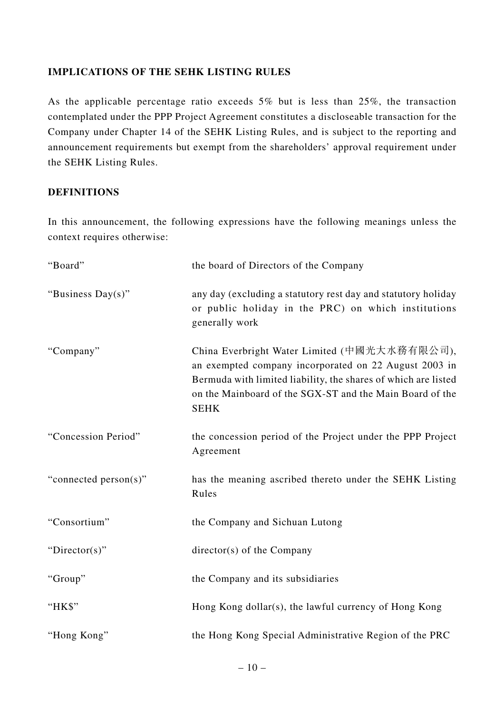## **IMPLICATIONS OF THE SEHK LISTING RULES**

As the applicable percentage ratio exceeds 5% but is less than 25%, the transaction contemplated under the PPP Project Agreement constitutes a discloseable transaction for the Company under Chapter 14 of the SEHK Listing Rules, and is subject to the reporting and announcement requirements but exempt from the shareholders' approval requirement under the SEHK Listing Rules.

#### **DEFINITIONS**

In this announcement, the following expressions have the following meanings unless the context requires otherwise:

| "Board"               | the board of Directors of the Company                                                                                                                                                                                                              |
|-----------------------|----------------------------------------------------------------------------------------------------------------------------------------------------------------------------------------------------------------------------------------------------|
| "Business Day(s)"     | any day (excluding a statutory rest day and statutory holiday<br>or public holiday in the PRC) on which institutions<br>generally work                                                                                                             |
| "Company"             | China Everbright Water Limited (中國光大水務有限公司),<br>an exempted company incorporated on 22 August 2003 in<br>Bermuda with limited liability, the shares of which are listed<br>on the Mainboard of the SGX-ST and the Main Board of the<br><b>SEHK</b> |
| "Concession Period"   | the concession period of the Project under the PPP Project<br>Agreement                                                                                                                                                                            |
| "connected person(s)" | has the meaning ascribed thereto under the SEHK Listing<br>Rules                                                                                                                                                                                   |
| "Consortium"          | the Company and Sichuan Lutong                                                                                                                                                                                                                     |
| "Director(s)"         | $directory(s)$ of the Company                                                                                                                                                                                                                      |
| "Group"               | the Company and its subsidiaries                                                                                                                                                                                                                   |
| "HK\$"                | Hong Kong dollar(s), the lawful currency of Hong Kong                                                                                                                                                                                              |
| "Hong Kong"           | the Hong Kong Special Administrative Region of the PRC                                                                                                                                                                                             |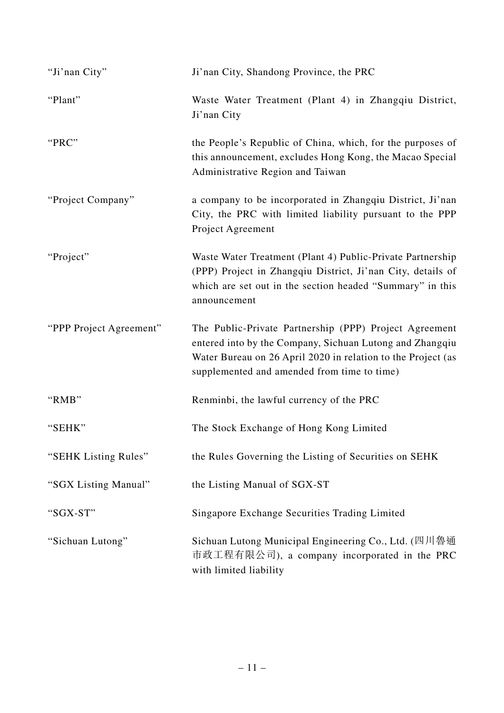| "Ji'nan City"           | Ji'nan City, Shandong Province, the PRC                                                                                                                                                                                           |
|-------------------------|-----------------------------------------------------------------------------------------------------------------------------------------------------------------------------------------------------------------------------------|
| "Plant"                 | Waste Water Treatment (Plant 4) in Zhangqiu District,<br>Ji'nan City                                                                                                                                                              |
| "PRC"                   | the People's Republic of China, which, for the purposes of<br>this announcement, excludes Hong Kong, the Macao Special<br>Administrative Region and Taiwan                                                                        |
| "Project Company"       | a company to be incorporated in Zhangqiu District, Ji'nan<br>City, the PRC with limited liability pursuant to the PPP<br>Project Agreement                                                                                        |
| "Project"               | Waste Water Treatment (Plant 4) Public-Private Partnership<br>(PPP) Project in Zhangqiu District, Ji'nan City, details of<br>which are set out in the section headed "Summary" in this<br>announcement                            |
| "PPP Project Agreement" | The Public-Private Partnership (PPP) Project Agreement<br>entered into by the Company, Sichuan Lutong and Zhangqiu<br>Water Bureau on 26 April 2020 in relation to the Project (as<br>supplemented and amended from time to time) |
| "RMB"                   | Renminbi, the lawful currency of the PRC                                                                                                                                                                                          |
| "SEHK"                  | The Stock Exchange of Hong Kong Limited                                                                                                                                                                                           |
| "SEHK Listing Rules"    | the Rules Governing the Listing of Securities on SEHK                                                                                                                                                                             |
| "SGX Listing Manual"    | the Listing Manual of SGX-ST                                                                                                                                                                                                      |
| "SGX-ST"                | Singapore Exchange Securities Trading Limited                                                                                                                                                                                     |
| "Sichuan Lutong"        | Sichuan Lutong Municipal Engineering Co., Ltd. (四川魯通<br>市政工程有限公司), a company incorporated in the PRC<br>with limited liability                                                                                                    |